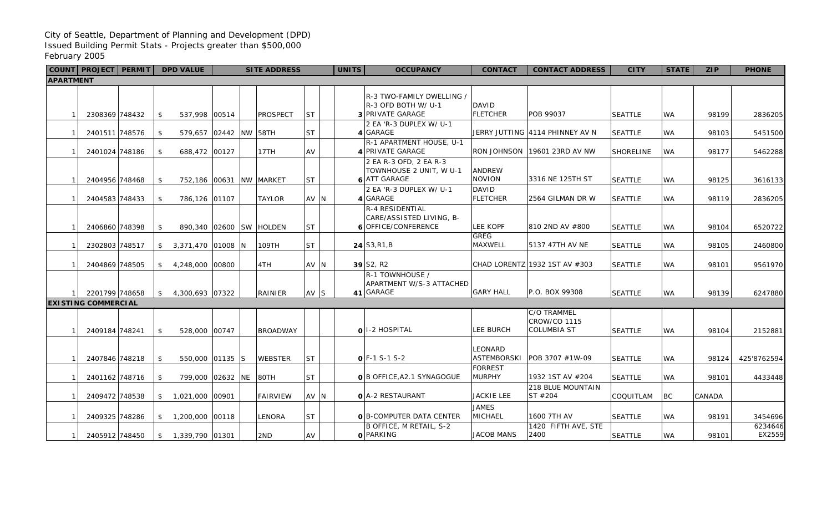## City of Seattle, Department of Planning and Development (DPD) Issued Building Permit Stats - Projects greater than \$500,000 February 2005

|                  |                                                                         | COUNT PROJECT PERMIT |  |                | <b>DPD VALUE</b>        | <b>SITE ADDRESS</b> |  |                 |           | <b>UNITS</b> |  | <b>OCCUPANCY</b>                                                         | <b>CONTACT</b>                       | <b>CONTACT ADDRESS</b>                                   | <b>CITY</b>      | <b>STATE</b> | <b>ZIP</b> | <b>PHONE</b>      |
|------------------|-------------------------------------------------------------------------|----------------------|--|----------------|-------------------------|---------------------|--|-----------------|-----------|--------------|--|--------------------------------------------------------------------------|--------------------------------------|----------------------------------------------------------|------------------|--------------|------------|-------------------|
| <b>APARTMENT</b> |                                                                         |                      |  |                |                         |                     |  |                 |           |              |  |                                                                          |                                      |                                                          |                  |              |            |                   |
|                  |                                                                         |                      |  |                |                         |                     |  |                 |           |              |  | R-3 TWO-FAMILY DWELLING /<br>R-3 OFD BOTH W/ U-1                         | DAVID                                |                                                          |                  |              |            |                   |
|                  |                                                                         | 2308369 748432       |  | \$             | 537,998 00514           |                     |  | <b>PROSPECT</b> | <b>ST</b> |              |  | 3 PRIVATE GARAGE                                                         | <b>FLETCHER</b>                      | POB 99037                                                | <b>SEATTLE</b>   | WA           | 98199      | 2836205           |
|                  |                                                                         |                      |  |                |                         |                     |  |                 |           |              |  | 2 EA 'R-3 DUPLEX W/ U-1                                                  |                                      |                                                          |                  |              |            |                   |
|                  |                                                                         | 2401511 748576       |  | \$             | 579,657 02442 NW 58TH   |                     |  |                 | <b>ST</b> |              |  | 4 GARAGE<br>R-1 APARTMENT HOUSE, U-1                                     |                                      | JERRY JUTTING 4114 PHINNEY AV N                          | <b>SEATTLE</b>   | WA           | 98103      | 5451500           |
|                  |                                                                         | 2401024 748186       |  | \$             | 688,472 00127           |                     |  | 17TH            | AV        |              |  | 4 PRIVATE GARAGE                                                         | RON JOHNSON                          | 19601 23RD AV NW                                         | <b>SHORELINE</b> | <b>WA</b>    | 98177      | 5462288           |
|                  |                                                                         | 2404956 748468       |  | \$             | 752,186 00631 NW MARKET |                     |  |                 | <b>ST</b> |              |  | 2 EA R-3 OFD, 2 EA R-3<br>TOWNHOUSE 2 UNIT, W U-1<br><b>6 ATT GARAGE</b> | <b>ANDREW</b><br><b>NOVION</b>       | 3316 NE 125TH ST                                         | <b>SEATTLE</b>   | <b>WA</b>    | 98125      | 3616133           |
|                  |                                                                         |                      |  |                |                         |                     |  |                 |           |              |  | 2 EA 'R-3 DUPLEX W/ U-1                                                  | <b>DAVID</b>                         |                                                          |                  |              |            |                   |
|                  |                                                                         | 2404583 748433       |  | \$             | 786,126 01107           |                     |  | <b>TAYLOR</b>   | AV N      |              |  | 4 GARAGE                                                                 | <b>FLETCHER</b>                      | 2564 GILMAN DR W                                         | <b>SEATTLE</b>   | <b>WA</b>    | 98119      | 2836205           |
|                  |                                                                         | 2406860 748398       |  | \$             | 890,340 02600 SW HOLDEN |                     |  |                 | <b>ST</b> |              |  | R-4 RESIDENTIAL<br>CARE/ASSISTED LIVING, B-<br>6 OFFICE/CONFERENCE       | <b>LEE KOPF</b>                      | 810 2ND AV #800                                          | <b>SEATTLE</b>   | <b>WA</b>    | 98104      | 6520722           |
|                  |                                                                         |                      |  |                |                         |                     |  |                 |           |              |  |                                                                          | <b>GREG</b>                          |                                                          |                  |              |            |                   |
|                  |                                                                         | 2302803 748517       |  | \$             | 3,371,470 01008 N       |                     |  | 109TH           | <b>ST</b> |              |  | $24$ S <sub>3</sub> ,R <sub>1</sub> ,B                                   | MAXWELL                              | 5137 47TH AV NE                                          | <b>SEATTLE</b>   | <b>WA</b>    | 98105      | 2460800           |
|                  |                                                                         | 2404869 748505       |  | \$             | 4,248,000 00800         |                     |  | 4TH             | AV N      |              |  | $39$ S <sub>2</sub> , R <sub>2</sub>                                     |                                      | CHAD LORENTZ 1932 1ST AV #303                            | <b>SEATTLE</b>   | <b>WA</b>    | 98101      | 9561970           |
|                  |                                                                         |                      |  | \$             |                         |                     |  | RAINIER         |           |              |  | R-1 TOWNHOUSE /<br>APARTMENT W/S-3 ATTACHED<br>41 GARAGE                 | <b>GARY HALL</b>                     | P.O. BOX 99308                                           | <b>SEATTLE</b>   | <b>WA</b>    | 98139      | 6247880           |
|                  | 2201799 748658<br>AV S<br>4,300,693 07322<br><b>EXISTING COMMERCIAL</b> |                      |  |                |                         |                     |  |                 |           |              |  |                                                                          |                                      |                                                          |                  |              |            |                   |
|                  |                                                                         | 2409184 748241       |  | \$             | 528,000 00747           |                     |  | <b>BROADWAY</b> |           |              |  | oll-2 HOSPITAL                                                           | <b>LEE BURCH</b>                     | C/O TRAMMEL<br><b>CROW/CO 1115</b><br><b>COLUMBIA ST</b> | <b>SEATTLE</b>   | <b>WA</b>    | 98104      | 2152881           |
|                  |                                                                         | 2407846 748218       |  | $\mathfrak{L}$ | 550,000 01135 S         |                     |  | <b>WEBSTER</b>  | <b>ST</b> |              |  | $O$ F-1 S-1 S-2                                                          | <b>LEONARD</b><br><b>ASTEMBORSKI</b> | POB 3707 #1W-09                                          | <b>SEATTLE</b>   | WA           | 98124      | 425'8762594       |
|                  |                                                                         | 2401162 748716       |  | \$             | 799,000 02632 NE        |                     |  | $ $ 80TH        | <b>ST</b> |              |  | O B OFFICE, A2.1 SYNAGOGUE                                               | <b>FORREST</b><br><b>MURPHY</b>      | 1932 1ST AV #204                                         | <b>SEATTLE</b>   | <b>WA</b>    | 98101      | 4433448           |
|                  |                                                                         | 2409472 748538       |  | \$             | 1,021,000 00901         |                     |  | <b>FAIRVIEW</b> | AV N      |              |  | <b>O</b> A-2 RESTAURANT                                                  | <b>JACKIE LEE</b>                    | 218 BLUE MOUNTAIN<br>ST #204                             | COQUITLAM        | <b>BC</b>    | CANADA     |                   |
|                  |                                                                         | 2409325 748286       |  | \$             | 1,200,000 00118         |                     |  | LENORA          | <b>ST</b> |              |  | O B-COMPUTER DATA CENTER                                                 | <b>JAMES</b><br>MICHAEL              | 1600 7TH AV                                              | <b>SEATTLE</b>   | <b>WA</b>    | 98191      | 3454696           |
|                  |                                                                         | 2405912 748450       |  | \$             | 1,339,790 01301         |                     |  | 2ND             | AV        |              |  | B OFFICE, M RETAIL, S-2<br><b>O</b> PARKING                              | <b>JACOB MANS</b>                    | 1420 FIFTH AVE, STE<br>2400                              | <b>SEATTLE</b>   | <b>WA</b>    | 98101      | 6234646<br>EX2559 |